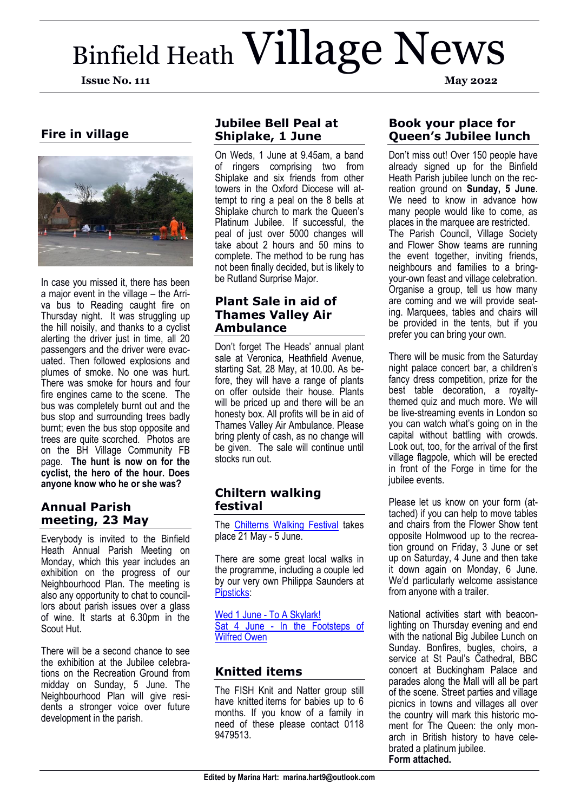# Binfield Heath Village News **Issue No. 111 May 2022**



In case you missed it, there has been a major event in the village – the Arriva bus to Reading caught fire on Thursday night. It was struggling up the hill noisily, and thanks to a cyclist alerting the driver just in time, all 20 passengers and the driver were evacuated. Then followed explosions and plumes of smoke. No one was hurt. There was smoke for hours and four fire engines came to the scene. The bus was completely burnt out and the bus stop and surrounding trees badly burnt; even the bus stop opposite and trees are quite scorched. Photos are on the BH Village Community FB page. **The hunt is now on for the cyclist, the hero of the hour. Does anyone know who he or she was?**

## **Annual Parish meeting, 23 May**

Everybody is invited to the Binfield Heath Annual Parish Meeting on Monday, which this year includes an exhibition on the progress of our Neighbourhood Plan. The meeting is also any opportunity to chat to councillors about parish issues over a glass of wine. It starts at 6.30pm in the Scout Hut.

There will be a second chance to see the exhibition at the Jubilee celebrations on the Recreation Ground from midday on Sunday, 5 June. The Neighbourhood Plan will give residents a stronger voice over future development in the parish.

## **Jubilee Bell Peal at Shiplake, 1 June**

On Weds, 1 June at 9.45am, a band of ringers comprising two from Shiplake and six friends from other towers in the Oxford Diocese will attempt to ring a peal on the 8 bells at Shiplake church to mark the Queen's Platinum Jubilee. If successful, the peal of just over 5000 changes will take about 2 hours and 50 mins to complete. The method to be rung has not been finally decided, but is likely to be Rutland Surprise Major.

## **Plant Sale in aid of Thames Valley Air Ambulance**

Don't forget The Heads' annual plant sale at Veronica, Heathfield Avenue, starting Sat, 28 May, at 10.00. As before, they will have a range of plants on offer outside their house. Plants will be priced up and there will be an honesty box. All profits will be in aid of Thames Valley Air Ambulance. Please bring plenty of cash, as no change will be given. The sale will continue until stocks run out.

## **Chiltern walking festival**

The [Chilterns Walking Festival](file:///C:/Users/Marina/Documents/Newsletters/visitchilterns.co.uk) takes place 21 May - 5 June.

There are some great local walks in the programme, including a couple led by our very own Philippa Saunders at [Pipsticks:](https://www.pipstickswalks.co.uk/)

[Wed 1 June -](https://www.visitchilterns.co.uk/walkingfest/event-details/988/to-a-skylark-2901) To A Skylark! Sat 4 June - [In the Footsteps of](https://www.visitchilterns.co.uk/walkingfest/event-details/989/in-the-footsteps-of-wilfred-owen-2902)  [Wilfred Owen](https://www.visitchilterns.co.uk/walkingfest/event-details/989/in-the-footsteps-of-wilfred-owen-2902)

## **Knitted items**

The FISH Knit and Natter group still have knitted items for babies up to 6 months. If you know of a family in need of these please contact 0118 9479513.

## **Book your place for Queen's Jubilee lunch**

Don't miss out! Over 150 people have already signed up for the Binfield Heath Parish jubilee lunch on the recreation ground on **Sunday, 5 June**. We need to know in advance how many people would like to come, as places in the marquee are restricted. The Parish Council, Village Society and Flower Show teams are running the event together, inviting friends, neighbours and families to a bringyour-own feast and village celebration. Organise a group, tell us how many are coming and we will provide seating. Marquees, tables and chairs will be provided in the tents, but if you prefer you can bring your own.

There will be music from the Saturday night palace concert bar, a children's fancy dress competition, prize for the best table decoration, a royaltythemed quiz and much more. We will be live-streaming events in London so you can watch what's going on in the capital without battling with crowds. Look out, too, for the arrival of the first village flagpole, which will be erected in front of the Forge in time for the jubilee events.

Please let us know on your form (attached) if you can help to move tables and chairs from the Flower Show tent opposite Holmwood up to the recreation ground on Friday, 3 June or set up on Saturday, 4 June and then take it down again on Monday, 6 June. We'd particularly welcome assistance from anyone with a trailer.

National activities start with beaconlighting on Thursday evening and end with the national Big Jubilee Lunch on Sunday. Bonfires, bugles, choirs, a service at St Paul's Cathedral, BBC concert at Buckingham Palace and parades along the Mall will all be part of the scene. Street parties and village picnics in towns and villages all over the country will mark this historic moment for The Queen: the only monarch in British history to have celebrated a platinum jubilee. **Form attached.**